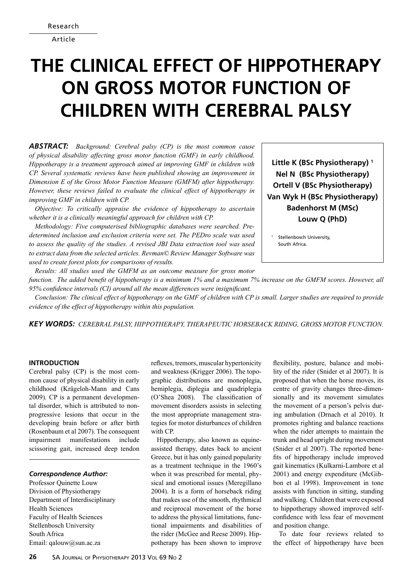Article

# **The clinical effect of hippotherapy on gross motor function of children with Cerebral Palsy**

*Abstract: Background: Cerebral palsy (CP) is the most common cause of physical disability affecting gross motor function (GMF) in early childhood. Hippotherapy is a treatment approach aimed at improving GMF in children with CP. Several systematic reviews have been published showing an improvement in Dimension E of the Gross Motor Function Measure (GMFM) after hippotherapy. However, these reviews failed to evaluate the clinical effect of hippotherapy in improving GMF in children with CP.* 

*Objective: To critically appraise the evidence of hippotherapy to ascertain whether it is a clinically meaningful approach for children with CP.* 

*Methodology: Five computerised bibliographic databases were searched. Predetermined inclusion and exclusion criteria were set. The PEDro scale was used to assess the quality of the studies. A revised JBI Data extraction tool was used to extract data from the selected articles. Revman© Review Manager Software was used to create forest plots for comparisons of results.* 

**Little K (BSc Physiotherapy) 1 Nel N (BSc Physiotherapy) Ortell V (BSc Physiotherapy) Van Wyk H (BSc Physiotherapy) Badenhorst M (MSc) Louw Q (PhD)**

Stellenbosch University, South Africa.

*Results: All studies used the GMFM as an outcome measure for gross motor function. The added benefit of hippotherapy is a minimum 1% and a maximum 7% increase on the GMFM scores. However, all 95% confidence intervals (CI) around all the mean differences were insignificant.* 

*Conclusion: The clinical effect of hippotherapy on the GMF of children with CP is small. Larger studies are required to provide evidence of the effect of hippotherapy within this population.* 

*Key words: Cerebral palsy, Hippotherapy, Therapeutic Horseback Riding, Gross Motor Function.*

# **Introduction**

Cerebral palsy (CP) is the most common cause of physical disability in early childhood (Krägeloh-Mann and Cans 2009). CP is a permanent developmental disorder, which is attributed to nonprogressive lesions that occur in the developing brain before or after birth (Rosenbaum et al 2007). The consequent impairment manifestations include scissoring gait, increased deep tendon

# *Correspondence Author:*

Professor Quinette Louw Division of Physiotherapy Department of Interdisciplinary Health Sciences Faculty of Health Sciences Stellenbosch University South Africa Email: qalouw@sun.ac.za

reflexes, tremors, muscular hypertonicity and weakness (Krigger 2006). The topographic distributions are monoplegia, hemiplegia, diplegia and quadriplegia (O'Shea 2008). The classification of movement disorders assists in selecting the most appropriate management strategies for motor disturbances of children with CP.

Hippotherapy, also known as equineassisted therapy, dates back to ancient Greece, but it has only gained popularity as a treatment technique in the 1960's when it was prescribed for mental, physical and emotional issues (Meregillano 2004). It is a form of horseback riding that makes use of the smooth, rhythmical and reciprocal movement of the horse to address the physical limitations, functional impairments and disabilities of the rider (McGee and Reese 2009). Hippotherapy has been shown to improve flexibility, posture, balance and mobility of the rider (Snider et al 2007). It is proposed that when the horse moves, its centre of gravity changes three-dimensionally and its movement simulates the movement of a person's pelvis during ambulation (Drnach et al 2010). It promotes righting and balance reactions when the rider attempts to maintain the trunk and head upright during movement (Snider et al 2007). The reported benefits of hippotherapy include improved gait kinematics (Kulkarni-Lambore et al 2001) and energy expenditure (McGibbon et al 1998). Improvement in tone assists with function in sitting, standing and walking. Children that were exposed to hippotherapy showed improved selfconfidence with less fear of movement and position change.

To date four reviews related to the effect of hippotherapy have been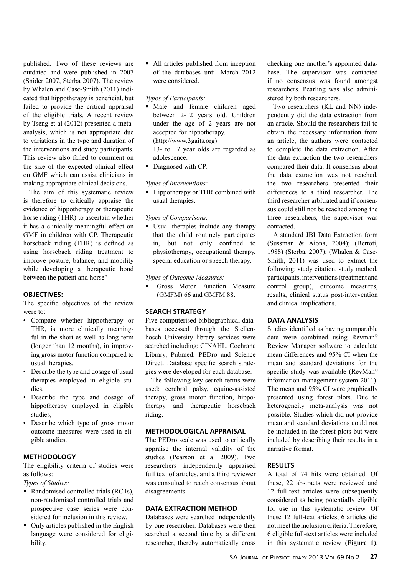published. Two of these reviews are outdated and were published in 2007 (Snider 2007, Sterba 2007). The review by Whalen and Case-Smith (2011) indicated that hippotherapy is beneficial, but failed to provide the critical appraisal of the eligible trials. A recent review by Tseng et al (2012) presented a metaanalysis, which is not appropriate due to variations in the type and duration of the interventions and study participants. This review also failed to comment on the size of the expected clinical effect on GMF which can assist clinicians in making appropriate clinical decisions.

The aim of this systematic review is therefore to critically appraise the evidence of hippotherapy or therapeutic horse riding (THR) to ascertain whether it has a clinically meaningful effect on GMF in children with CP. Therapeutic horseback riding (THR) is defined as using horseback riding treatment to improve posture, balance, and mobility while developing a therapeutic bond between the patient and horse"

# **Objectives:**

The specific objectives of the review were to:

- Compare whether hippotherapy or THR, is more clinically meaningful in the short as well as long term (longer than 12 months), in improving gross motor function compared to usual therapies,
- Describe the type and dosage of usual therapies employed in eligible studies,
- Describe the type and dosage of hippotherapy employed in eligible studies,
- Describe which type of gross motor outcome measures were used in eligible studies.

# **Methodology**

The eligibility criteria of studies were as follows:

*Types of Studies:*

- Randomised controlled trials (RCTs), non-randomised controlled trials and prospective case series were considered for inclusion in this review.
- Only articles published in the English language were considered for eligibility.

 All articles published from inception of the databases until March 2012 were considered.

#### *Types of Participants:*

- Male and female children aged between 2-12 years old. Children under the age of 2 years are not accepted for hippotherapy. (http://www.3gaits.org) 13- to 17 year olds are regarded as adolescence.
- Diagnosed with CP.

# *Types of Interventions:*

■ Hippotherapy or THR combined with usual therapies.

## *Types of Comparisons:*

 Usual therapies include any therapy that the child routinely participates in, but not only confined to physiotherapy, occupational therapy, special education or speech therapy.

#### *Types of Outcome Measures:*

 Gross Motor Function Measure (GMFM) 66 and GMFM 88.

# **Search Strategy**

Five computerised bibliographical databases accessed through the Stellenbosch University library services were searched including; CINAHL, Cochrane Library, Pubmed, PEDro and Science Direct. Database specific search strategies were developed for each database.

The following key search terms were used: cerebral palsy, equine-assisted therapy, gross motor function, hippotherapy and therapeutic horseback riding.

# **Methodological appraisal**

The PEDro scale was used to critically appraise the internal validity of the studies (Pearson et al 2009). Two researchers independently appraised full text of articles, and a third reviewer was consulted to reach consensus about disagreements.

#### **Data extraction method**

Databases were searched independently by one researcher. Databases were then searched a second time by a different researcher, thereby automatically cross

checking one another's appointed database. The supervisor was contacted if no consensus was found amongst researchers. Pearling was also administered by both researchers.

Two researchers (KL and NN) independently did the data extraction from an article. Should the researchers fail to obtain the necessary information from an article, the authors were contacted to complete the data extraction. After the data extraction the two researchers compared their data. If consensus about the data extraction was not reached, the two researchers presented their differences to a third researcher. The third researcher arbitrated and if consensus could still not be reached among the three researchers, the supervisor was contacted.

A standard JBI Data Extraction form (Sussman & Aiona, 2004); (Bertoti, 1988) (Sterba, 2007); (Whalen & Case-Smith, 2011) was used to extract the following; study citation, study method, participants, interventions (treatment and control group), outcome measures, results, clinical status post-intervention and clinical implications.

# **Data analysis**

Studies identified as having comparable data were combined using Revman© Review Manager software to calculate mean differences and 95% CI when the mean and standard deviations for the specific study was available (RevMan<sup>®</sup>) information management system 2011). The mean and 95% CI were graphically presented using forest plots. Due to heterogeneity meta-analysis was not possible. Studies which did not provide mean and standard deviations could not be included in the forest plots but were included by describing their results in a narrative format.

# **Results**

A total of 74 hits were obtained. Of these, 22 abstracts were reviewed and 12 full-text articles were subsequently considered as being potentially eligible for use in this systematic review. Of these 12 full-text articles, 6 articles did not meet the inclusion criteria. Therefore, 6 eligible full-text articles were included in this systematic review **(Figure 1)**.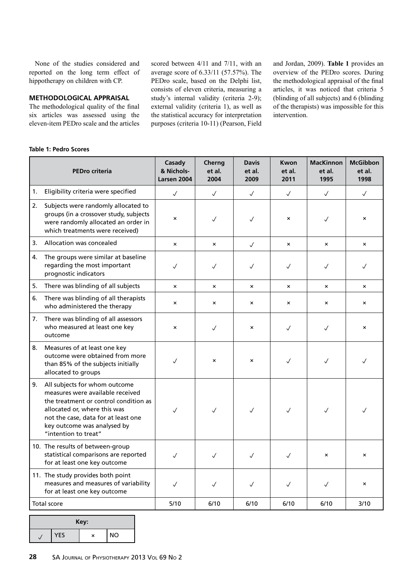None of the studies considered and reported on the long term effect of hippotherapy on children with CP.

# **Methodological Appraisal**

The methodological quality of the final six articles was assessed using the eleven-item PEDro scale and the articles

scored between 4/11 and 7/11, with an average score of 6.33/11 (57.57%). The PEDro scale, based on the Delphi list, consists of eleven criteria, measuring a study's internal validity (criteria 2-9); external validity (criteria 1), as well as the statistical accuracy for interpretation purposes (criteria 10-11) (Pearson, Field

and Jordan, 2009). **Table 1** provides an overview of the PEDro scores. During the methodological appraisal of the final articles, it was noticed that criteria 5 (blinding of all subjects) and 6 (blinding of the therapists) was impossible for this intervention.

## **Table 1: Pedro Scores**

|    | <b>PEDro criteria</b>                                                                                                                                                                                                                    | Casady<br>& Nichols-<br>Larsen 2004 | Cherng<br>et al.<br>2004  | <b>Davis</b><br>et al.<br>2009 | Kwon<br>et al.<br>2011    | <b>MacKinnon</b><br>et al.<br>1995 | <b>McGibbon</b><br>et al.<br>1998 |
|----|------------------------------------------------------------------------------------------------------------------------------------------------------------------------------------------------------------------------------------------|-------------------------------------|---------------------------|--------------------------------|---------------------------|------------------------------------|-----------------------------------|
| 1. | Eligibility criteria were specified                                                                                                                                                                                                      | $\checkmark$                        | $\sqrt{}$                 | $\checkmark$                   | $\checkmark$              | $\checkmark$                       | $\checkmark$                      |
| 2. | Subjects were randomly allocated to<br>groups (in a crossover study, subjects<br>were randomly allocated an order in<br>which treatments were received)                                                                                  | $\pmb{\times}$                      | $\checkmark$              | $\checkmark$                   | $\pmb{\times}$            | $\checkmark$                       | $\pmb{\times}$                    |
| 3. | Allocation was concealed                                                                                                                                                                                                                 | $\times$                            | $\boldsymbol{\mathsf{x}}$ | $\checkmark$                   | $\boldsymbol{\mathsf{x}}$ | $\times$                           | $\times$                          |
| 4. | The groups were similar at baseline<br>regarding the most important<br>prognostic indicators                                                                                                                                             | ✓                                   | ✓                         | ✓                              | ✓                         | $\checkmark$                       | ✓                                 |
| 5. | There was blinding of all subjects                                                                                                                                                                                                       | $\mathsf{x}$                        | $\boldsymbol{\mathsf{x}}$ | $\mathsf{x}$                   | $\mathsf{x}$              | $\mathsf{x}$                       | $\mathsf{x}$                      |
| 6. | There was blinding of all therapists<br>who administered the therapy                                                                                                                                                                     | $\pmb{\times}$                      | $\pmb{\times}$            | $\times$                       | $\boldsymbol{\mathsf{x}}$ | $\pmb{\times}$                     | $\times$                          |
| 7. | There was blinding of all assessors<br>who measured at least one key<br>outcome                                                                                                                                                          | ×                                   | $\sqrt{}$                 | $\times$                       | $\checkmark$              | $\checkmark$                       | $\times$                          |
| 8. | Measures of at least one key<br>outcome were obtained from more<br>than 85% of the subjects initially<br>allocated to groups                                                                                                             | $\checkmark$                        | $\pmb{\times}$            | $\times$                       | $\checkmark$              | $\checkmark$                       | $\checkmark$                      |
| 9. | All subjects for whom outcome<br>measures were available received<br>the treatment or control condition as<br>allocated or, where this was<br>not the case, data for at least one<br>key outcome was analysed by<br>"intention to treat" | $\checkmark$                        | $\sqrt{ }$                | $\checkmark$                   | $\checkmark$              | $\checkmark$                       | J                                 |
|    | 10. The results of between-group<br>statistical comparisons are reported<br>for at least one key outcome                                                                                                                                 | $\checkmark$                        | $\checkmark$              | $\checkmark$                   | $\checkmark$              | ×                                  | ×                                 |
|    | 11. The study provides both point<br>measures and measures of variability<br>for at least one key outcome                                                                                                                                | $\checkmark$                        | $\checkmark$              | $\checkmark$                   | $\checkmark$              | $\checkmark$                       | ×                                 |
|    | Total score                                                                                                                                                                                                                              | 5/10                                | 6/10                      | 6/10                           | 6/10                      | 6/10                               | 3/10                              |

|            | Key: |           |
|------------|------|-----------|
| <b>YES</b> | ×    | <b>NO</b> |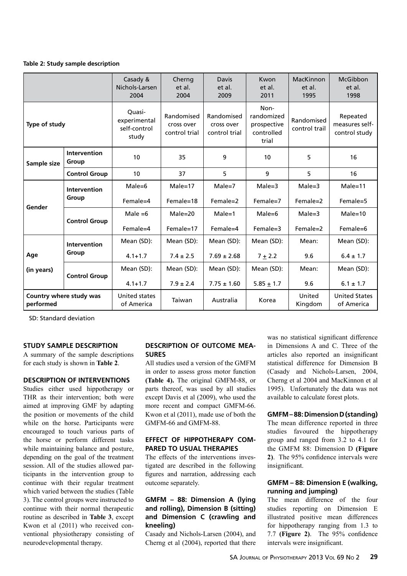## **Table 2: Study sample description**

|                                      |                              | Casady &<br>Nichols-Larsen<br>2004              | Cherng<br>et al.<br>2004                  | <b>Davis</b><br>et al.<br>2009            | Kwon<br>et al.<br>2011                                   | MacKinnon<br>et al.<br>1995 | McGibbon<br>et al.<br>1998                  |
|--------------------------------------|------------------------------|-------------------------------------------------|-------------------------------------------|-------------------------------------------|----------------------------------------------------------|-----------------------------|---------------------------------------------|
| Type of study                        |                              | Quasi-<br>experimental<br>self-control<br>study | Randomised<br>cross over<br>control trial | Randomised<br>cross over<br>control trial | Non-<br>randomized<br>prospective<br>controlled<br>trial | Randomised<br>control trail | Repeated<br>measures self-<br>control study |
| Sample size                          | <b>Intervention</b><br>Group | 10                                              | 35                                        | 9                                         | 10                                                       | 5                           | 16                                          |
|                                      | <b>Control Group</b>         |                                                 | 37                                        | 5                                         | 9                                                        |                             | 16                                          |
|                                      | <b>Intervention</b>          | $Male = 6$                                      | $Male = 17$                               | $Male = 7$                                | $Male = 3$                                               | $Male = 3$                  | $Male = 11$                                 |
|                                      | Group                        | Female=4                                        | Female=18                                 | Female=2                                  | Female=7                                                 | Female=2                    | Female=5                                    |
| Gender                               |                              | Male $=6$                                       | $Male = 20$                               | $Male = 1$                                | $Male = 6$                                               | $Male = 3$                  | $Male = 10$                                 |
|                                      | <b>Control Group</b>         | Female=4                                        | Female=17                                 | Female=4                                  | Female=3                                                 | Female=2                    | Female=6                                    |
|                                      | <b>Intervention</b>          | Mean (SD):                                      | Mean (SD):                                | Mean (SD):                                | Mean (SD):                                               | Mean:                       | Mean (SD):                                  |
| Age                                  | Group                        | $4.1 + 1.7$                                     | $7.4 \pm 2.5$                             | $7.69 \pm 2.68$                           | $7 + 2.2$                                                | 9.6                         | $6.4 \pm 1.7$                               |
| (in years)                           |                              | Mean (SD):                                      | Mean (SD):                                | Mean (SD):                                | Mean (SD):                                               | Mean:                       | Mean (SD):                                  |
|                                      | <b>Control Group</b>         | $4.1 + 1.7$                                     | $7.9 \pm 2.4$                             | $7.75 \pm 1.60$                           | $5.85 + 1.7$                                             | 9.6                         | $6.1 \pm 1.7$                               |
| Country where study was<br>performed |                              | <b>United states</b><br>of America              | Taiwan                                    | Australia                                 | Korea                                                    | United<br>Kingdom           | <b>United States</b><br>of America          |

SD: Standard deviation

#### **Study Sample Description**

A summary of the sample descriptions for each study is shown in **Table 2**.

# **Description of Interventions**

Studies either used hippotherapy or THR as their intervention; both were aimed at improving GMF by adapting the position or movements of the child while on the horse. Participants were encouraged to touch various parts of the horse or perform different tasks while maintaining balance and posture, depending on the goal of the treatment session. All of the studies allowed participants in the intervention group to continue with their regular treatment which varied between the studies (Table 3). The control groups were instructed to continue with their normal therapeutic routine as described in **Table 3**, except Kwon et al (2011) who received conventional physiotherapy consisting of neurodevelopmental therapy.

# **Description of Outcome Measures**

All studies used a version of the GMFM in order to assess gross motor function **(Table 4).** The original GMFM-88, or parts thereof, was used by all studies except Davis et al (2009), who used the more recent and compact GMFM-66. Kwon et al (2011), made use of both the GMFM-66 and GMFM-88.

# **Effect of Hippotherapy compared to Usual Therapies**

The effects of the interventions investigated are described in the following figures and narration, addressing each outcome separately.

# **GMFM – 88: Dimension A (lying and rolling), Dimension B (sitting) and Dimension C (crawling and kneeling)**

Casady and Nichols-Larsen (2004), and Cherng et al (2004), reported that there was no statistical significant difference in Dimensions A and C. Three of the articles also reported an insignificant statistical difference for Dimension B (Casady and Nichols-Larsen, 2004, Cherng et al 2004 and MacKinnon et al 1995). Unfortunately the data was not available to calculate forest plots.

# **GMFM – 88: Dimension D (standing)**

The mean difference reported in three studies favoured the hippotherapy group and ranged from 3.2 to 4.1 for the GMFM 88: Dimension D **(Figure 2)**. The 95% confidence intervals were insignificant.

# **GMFM – 88: Dimension E (walking, running and jumping)**

The mean difference of the four studies reporting on Dimension E illustrated positive mean differences for hippotherapy ranging from 1.3 to 7.7 **(Figure 2)**. The 95% confidence intervals were insignificant.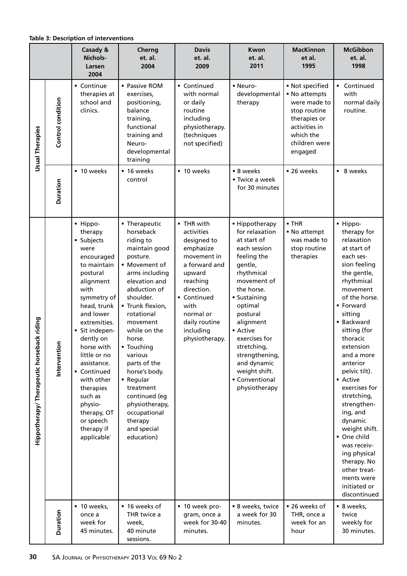# **Table 3: Description of interventions**

|                                                |                   | Casady &<br>Nichols-<br>Larsen<br>2004                                                                                                                                                                                                                                                                                                                                | Cherng<br>et. al.<br>2004                                                                                                                                                                                                                                                                                                                                                                                    | <b>Davis</b><br>et. al.<br>2009                                                                                                                                                                            | Kwon<br>et. al.<br>2011                                                                                                                                                                                                                                                                                                 | <b>MacKinnon</b><br>et al.<br>1995                                                                                                         | <b>McGibbon</b><br>et. al.<br>1998                                                                                                                                                                                                                                                                                                                                                                                                                                                                     |
|------------------------------------------------|-------------------|-----------------------------------------------------------------------------------------------------------------------------------------------------------------------------------------------------------------------------------------------------------------------------------------------------------------------------------------------------------------------|--------------------------------------------------------------------------------------------------------------------------------------------------------------------------------------------------------------------------------------------------------------------------------------------------------------------------------------------------------------------------------------------------------------|------------------------------------------------------------------------------------------------------------------------------------------------------------------------------------------------------------|-------------------------------------------------------------------------------------------------------------------------------------------------------------------------------------------------------------------------------------------------------------------------------------------------------------------------|--------------------------------------------------------------------------------------------------------------------------------------------|--------------------------------------------------------------------------------------------------------------------------------------------------------------------------------------------------------------------------------------------------------------------------------------------------------------------------------------------------------------------------------------------------------------------------------------------------------------------------------------------------------|
| <b>Usual Therapies</b>                         | Control condition | • Continue<br>therapies at<br>school and<br>clinics.                                                                                                                                                                                                                                                                                                                  | • Passive ROM<br>exercises,<br>positioning,<br>balance<br>training,<br>functional<br>training and<br>Neuro-<br>developmental<br>training                                                                                                                                                                                                                                                                     | Continued<br>with normal<br>or daily<br>routine<br>including<br>physiotherapy.<br>(techniques<br>not specified)                                                                                            | - Neuro-<br>developmental<br>therapy                                                                                                                                                                                                                                                                                    | • Not specified<br>• No attempts<br>were made to<br>stop routine<br>therapies or<br>activities in<br>which the<br>children were<br>engaged | Continued<br>٠.<br>with<br>normal daily<br>routine.                                                                                                                                                                                                                                                                                                                                                                                                                                                    |
|                                                | Duration          | ■ 10 weeks                                                                                                                                                                                                                                                                                                                                                            | ■ 16 weeks<br>control                                                                                                                                                                                                                                                                                                                                                                                        | ■ 10 weeks                                                                                                                                                                                                 | ■ 8 weeks<br>■ Twice a week<br>for 30 minutes                                                                                                                                                                                                                                                                           | ■ 26 weeks                                                                                                                                 | ■ 8 weeks                                                                                                                                                                                                                                                                                                                                                                                                                                                                                              |
| back riding<br>Hippotherapy/ Therapeutic horse | δ<br>Interventi   | - Hippo-<br>therapy<br>· Subjects<br>were<br>encouraged<br>to maintain<br>postural<br>alignment<br>with<br>symmetry of<br>head, trunk<br>and lower<br>extremities.<br>Sit indepen-<br>dently on<br>horse with<br>little or no<br>assistance.<br>• Continued<br>with other<br>therapies<br>such as<br>physio-<br>therapy, OT<br>or speech<br>therapy if<br>applicable` | • Therapeutic<br>horseback<br>riding to<br>maintain good<br>posture.<br>• Movement of<br>arms including<br>elevation and<br>abduction of<br>shoulder.<br>" Trunk flexion,<br>rotational<br>movement<br>while on the<br>horse.<br>• Touching<br>various<br>parts of the<br>horse's body.<br>■ Regular<br>treatment<br>continued (eg<br>physiotherapy,<br>occupational<br>therapy<br>and special<br>education) | • THR with<br>activities<br>designed to<br>emphasize<br>movement in<br>a forward and<br>upward<br>reaching<br>direction.<br>Continued<br>with<br>normal or<br>daily routine<br>including<br>physiotherapy. | • Hippotherapy<br>for relaxation<br>at start of<br>each session<br>feeling the<br>gentle,<br>rhythmical<br>movement of<br>the horse.<br>· Sustaining<br>optimal<br>postural<br>alignment<br>• Active<br>exercises for<br>stretching,<br>strengthening,<br>and dynamic<br>weight shift.<br>Conventional<br>physiotherapy | $\blacksquare$ THR<br>• No attempt<br>was made to<br>stop routine<br>therapies                                                             | - Hippo-<br>therapy for<br>relaxation<br>at start of<br>each ses-<br>sion feeling<br>the gentle,<br>rhythmical<br>movement<br>of the horse.<br>• Forward<br>sitting<br><b>Backward</b><br>sitting (for<br>thoracic<br>extension<br>and a more<br>anterior<br>pelvic tilt).<br>• Active<br>exercises for<br>stretching,<br>strengthen-<br>ing, and<br>dynamic<br>weight shift.<br>One child<br>was receiv-<br>ing physical<br>therapy. No<br>other treat-<br>ments were<br>initiated or<br>discontinued |
|                                                | <b>Duration</b>   | • 10 weeks,<br>once a<br>week for<br>45 minutes.                                                                                                                                                                                                                                                                                                                      | ■ 16 weeks of<br>THR twice a<br>week,<br>40 minute<br>sessions.                                                                                                                                                                                                                                                                                                                                              | ■ 10 week pro-<br>gram, once a<br>week for 30-40<br>minutes.                                                                                                                                               | • 8 weeks, twice<br>a week for 30<br>minutes.                                                                                                                                                                                                                                                                           | ■ 26 weeks of<br>THR, once a<br>week for an<br>hour                                                                                        | ■ 8 weeks,<br>twice<br>weekly for<br>30 minutes.                                                                                                                                                                                                                                                                                                                                                                                                                                                       |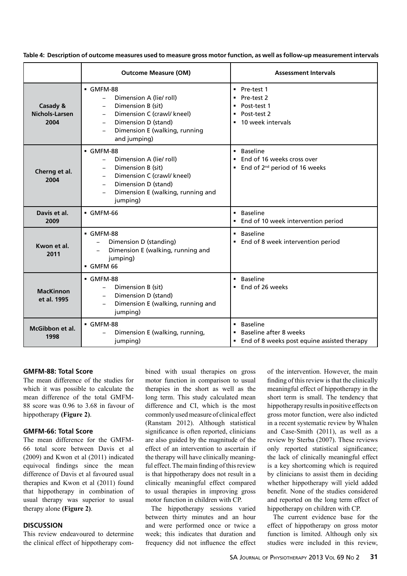|                                    | <b>Outcome Measure (OM)</b>                                                                                                                                                                                                                                               | <b>Assessment Intervals</b>                                                                                                                      |
|------------------------------------|---------------------------------------------------------------------------------------------------------------------------------------------------------------------------------------------------------------------------------------------------------------------------|--------------------------------------------------------------------------------------------------------------------------------------------------|
| Casady &<br>Nichols-Larsen<br>2004 | GMFM-88<br>Dimension A (lie/ roll)<br>$-$<br>Dimension B (sit)<br>$\overline{\phantom{0}}$<br>Dimension C (crawl/ kneel)<br>$-$<br>Dimension D (stand)<br>$\overline{\phantom{0}}$<br>Dimension E (walking, running<br>$\overline{\phantom{0}}$<br>and jumping)           | $\blacksquare$ Pre-test 1<br>Pre-test 2<br>$\blacksquare$<br>Post-test 1<br>$\blacksquare$<br>Post-test 2<br>$\blacksquare$<br>10 week intervals |
| Cherng et al.<br>2004              | $-GMFM-88$<br>Dimension A (lie/ roll)<br>$\overline{\phantom{0}}$<br>Dimension B (sit)<br>$\overline{\phantom{0}}$<br>Dimension C (crawl/ kneel)<br>$\qquad \qquad -$<br>Dimension D (stand)<br>$-$<br>Dimension E (walking, running and<br>$\qquad \qquad -$<br>jumping) | • Baseline<br>End of 16 weeks cross over<br>$\blacksquare$<br>End of 2 <sup>nd</sup> period of 16 weeks<br>$\blacksquare$                        |
| Davis et al.<br>2009               | $-GMFM-66$                                                                                                                                                                                                                                                                | • Baseline<br>End of 10 week intervention period                                                                                                 |
| Kwon et al.<br>2011                | $-GMFM-88$<br>Dimension D (standing)<br>Dimension E (walking, running and<br>jumping)<br>GMFM 66                                                                                                                                                                          | • Baseline<br>End of 8 week intervention period                                                                                                  |
| <b>MacKinnon</b><br>et al. 1995    | GMFM-88<br>Dimension B (sit)<br>$\overline{\phantom{0}}$<br>Dimension D (stand)<br>Dimension E (walking, running and<br>$\qquad \qquad -$<br>jumping)                                                                                                                     | • Baseline<br>End of 26 weeks<br>$\blacksquare$                                                                                                  |
| McGibbon et al.<br>1998            | GMFM-88<br>Dimension E (walking, running,<br>jumping)                                                                                                                                                                                                                     | <b>Baseline</b><br>$\blacksquare$<br>Baseline after 8 weeks<br>$\blacksquare$<br>End of 8 weeks post equine assisted therapy<br>٠                |

**Table 4: Description of outcome measures used to measure gross motor function, as well as follow-up measurement intervals**

# **GMFM-88: Total Score**

The mean difference of the studies for which it was possible to calculate the mean difference of the total GMFM-88 score was 0.96 to 3.68 in favour of hippotherapy **(Figure 2)**.

# **GMFM-66: Total Score**

The mean difference for the GMFM-66 total score between Davis et al (2009) and Kwon et al (2011) indicated equivocal findings since the mean difference of Davis et al favoured usual therapies and Kwon et al (2011) found that hippotherapy in combination of usual therapy was superior to usual therapy alone **(Figure 2)**.

# **Discussion**

This review endeavoured to determine the clinical effect of hippotherapy combined with usual therapies on gross motor function in comparison to usual therapies in the short as well as the long term. This study calculated mean difference and CI, which is the most commonly used measure of clinical effect (Ranstam 2012). Although statistical significance is often reported, clinicians are also guided by the magnitude of the effect of an intervention to ascertain if the therapy will have clinically meaningful effect. The main finding of this review is that hippotherapy does not result in a clinically meaningful effect compared to usual therapies in improving gross motor function in children with CP.

The hippotherapy sessions varied between thirty minutes and an hour and were performed once or twice a week; this indicates that duration and frequency did not influence the effect of the intervention. However, the main finding of this review is that the clinically meaningful effect of hippotherapy in the short term is small. The tendency that hippotherapy results in positive effects on gross motor function, were also indicted in a recent systematic review by Whalen and Case-Smith (2011), as well as a review by Sterba (2007). These reviews only reported statistical significance; the lack of clinically meaningful effect is a key shortcoming which is required by clinicians to assist them in deciding whether hippotherapy will yield added benefit. None of the studies considered and reported on the long term effect of hippotherapy on children with CP.

The current evidence base for the effect of hippotherapy on gross motor function is limited. Although only six studies were included in this review,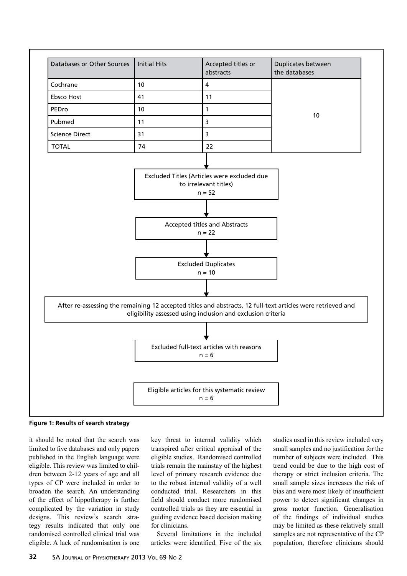

**Figure 1: Results of search strategy**

it should be noted that the search was limited to five databases and only papers published in the English language were eligible. This review was limited to children between 2-12 years of age and all types of CP were included in order to broaden the search. An understanding of the effect of hippotherapy is further complicated by the variation in study designs. This review's search strategy results indicated that only one randomised controlled clinical trial was eligible. A lack of randomisation is one key threat to internal validity which transpired after critical appraisal of the eligible studies. Randomised controlled trials remain the mainstay of the highest level of primary research evidence due to the robust internal validity of a well conducted trial. Researchers in this field should conduct more randomised controlled trials as they are essential in guiding evidence based decision making for clinicians.

Several limitations in the included articles were identified. Five of the six

studies used in this review included very small samples and no justification for the number of subjects were included. This trend could be due to the high cost of therapy or strict inclusion criteria. The small sample sizes increases the risk of bias and were most likely of insufficient power to detect significant changes in gross motor function. Generalisation of the findings of individual studies may be limited as these relatively small samples are not representative of the CP population, therefore clinicians should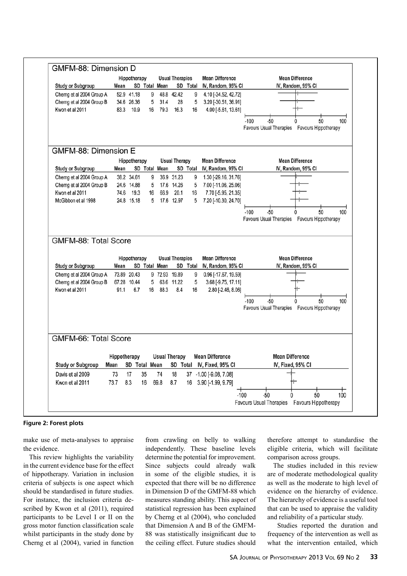|                      | Hippotherapy  |                                                                                                                                                                   |                              | <b>Usual Therapies</b>                                                             |                                                                                                            | <b>Mean Difference</b>                                                                      | <b>Mean Difference</b>                                                                                                                                      |
|----------------------|---------------|-------------------------------------------------------------------------------------------------------------------------------------------------------------------|------------------------------|------------------------------------------------------------------------------------|------------------------------------------------------------------------------------------------------------|---------------------------------------------------------------------------------------------|-------------------------------------------------------------------------------------------------------------------------------------------------------------|
| Mean                 |               |                                                                                                                                                                   | SD Total Mean                |                                                                                    |                                                                                                            | SD Total IV, Random, 95% CI                                                                 | IV, Random, 95% CI                                                                                                                                          |
|                      | 52.9 41.18    | 9                                                                                                                                                                 |                              | 48.8 42.42                                                                         | 9                                                                                                          | 4.10 [-34.52, 42.72]                                                                        |                                                                                                                                                             |
|                      |               | 5                                                                                                                                                                 |                              |                                                                                    |                                                                                                            | 3.20 [-30.51, 36.91]                                                                        |                                                                                                                                                             |
|                      |               |                                                                                                                                                                   |                              |                                                                                    |                                                                                                            |                                                                                             |                                                                                                                                                             |
|                      |               |                                                                                                                                                                   |                              |                                                                                    |                                                                                                            |                                                                                             | $-100$<br>$-50$<br>50<br>100                                                                                                                                |
|                      |               |                                                                                                                                                                   |                              |                                                                                    |                                                                                                            |                                                                                             | Favours Usual Therapies  Favours Hippotherapy                                                                                                               |
|                      |               |                                                                                                                                                                   |                              |                                                                                    |                                                                                                            |                                                                                             |                                                                                                                                                             |
|                      |               |                                                                                                                                                                   |                              |                                                                                    |                                                                                                            | <b>Mean Difference</b>                                                                      | <b>Mean Difference</b>                                                                                                                                      |
| Mean                 |               |                                                                                                                                                                   |                              |                                                                                    |                                                                                                            |                                                                                             | IV, Random, 95% CI                                                                                                                                          |
|                      |               |                                                                                                                                                                   |                              |                                                                                    | 9                                                                                                          | 1.30 [-29.16, 31.76]                                                                        |                                                                                                                                                             |
|                      |               | 5                                                                                                                                                                 |                              |                                                                                    | 5                                                                                                          |                                                                                             |                                                                                                                                                             |
|                      |               |                                                                                                                                                                   |                              |                                                                                    | 16                                                                                                         |                                                                                             |                                                                                                                                                             |
|                      |               |                                                                                                                                                                   |                              |                                                                                    |                                                                                                            |                                                                                             |                                                                                                                                                             |
|                      |               |                                                                                                                                                                   |                              |                                                                                    |                                                                                                            |                                                                                             | -50<br>50<br>$-100$<br>100                                                                                                                                  |
|                      |               |                                                                                                                                                                   |                              |                                                                                    |                                                                                                            |                                                                                             | Favours Usual Therapies  Favours Hippotherapy                                                                                                               |
| Mean                 |               | 5                                                                                                                                                                 |                              |                                                                                    | 9<br>5                                                                                                     | <b>Mean Difference</b><br>IV, Random, 95% CI<br>0.96 [-17.67, 19.59]<br>3.68 [-9.75, 17.11] | <b>Mean Difference</b><br>IV, Random, 95% CI                                                                                                                |
|                      |               |                                                                                                                                                                   |                              |                                                                                    |                                                                                                            |                                                                                             | 50<br>$-100$<br>$-50$<br>100<br>Favours Usual Therapies  Favours Hippotherapy                                                                               |
| GMFM-66: Total Score |               |                                                                                                                                                                   |                              |                                                                                    |                                                                                                            |                                                                                             |                                                                                                                                                             |
|                      |               |                                                                                                                                                                   |                              | <b>Usual Therapy</b>                                                               |                                                                                                            | <b>Mean Difference</b>                                                                      | <b>Mean Difference</b>                                                                                                                                      |
|                      |               |                                                                                                                                                                   |                              |                                                                                    |                                                                                                            |                                                                                             |                                                                                                                                                             |
| Hippotherapy<br>Mean | SD Total Mean |                                                                                                                                                                   |                              |                                                                                    |                                                                                                            |                                                                                             |                                                                                                                                                             |
|                      |               |                                                                                                                                                                   |                              |                                                                                    |                                                                                                            | SD Total IV, Fixed, 95% CI                                                                  | IV, Fixed, 95% CI                                                                                                                                           |
| 73                   | 17            | 35                                                                                                                                                                | 74                           | 18                                                                                 |                                                                                                            | 37 -1.00 [-9.08, 7.08]                                                                      |                                                                                                                                                             |
| 73.7                 | 8.3           | 16                                                                                                                                                                | 69.8                         | 8.7                                                                                |                                                                                                            | 16 3.90 [-1.99, 9.79]                                                                       |                                                                                                                                                             |
|                      | 74.6<br>91.1  | 34.6 26.36<br>83.3<br>10.9<br>GMFM-88: Dimension E<br>38.2 34.61<br>24.6 14.88<br>19.3<br>24.8 15.18<br>GMFM-88: Total Score<br>73.89 20.43<br>67.28 10.44<br>6.7 | Hippotherapy<br>Hippotherapy | 31.4<br>79.3<br>16<br>SD Total Mean<br>9<br>16<br>5<br>SD Total Mean<br>88.3<br>16 | 28<br>16.3<br>36.9 31.23<br>17.6 14.26<br>66.9<br>20.1<br>17.6 12.97<br>9 72.93 19.89<br>63.6 11.22<br>8.4 | 5<br>16<br><b>Usual Therapy</b><br>5<br><b>Usual Therapies</b><br>16                        | 4.00 [-5.61, 13.61]<br>SD Total IV, Random, 95% CI<br>7.00 [-11.06, 25.06]<br>7.70 [-5.95, 21.35]<br>7.20 [-10.30, 24.70]<br>SD Total<br>2.80 [-2.46, 8.06] |

#### **Figure 2: Forest plots**

make use of meta-analyses to appraise the evidence.

This review highlights the variability in the current evidence base for the effect of hippotherapy. Variation in inclusion criteria of subjects is one aspect which should be standardised in future studies. For instance, the inclusion criteria described by Kwon et al (2011), required participants to be Level I or II on the gross motor function classification scale whilst participants in the study done by Cherng et al (2004), varied in function from crawling on belly to walking independently. These baseline levels determine the potential for improvement. Since subjects could already walk in some of the eligible studies, it is expected that there will be no difference in Dimension D of the GMFM-88 which measures standing ability. This aspect of statistical regression has been explained by Cherng et al (2004), who concluded that Dimension A and B of the GMFM-88 was statistically insignificant due to the ceiling effect. Future studies should

therefore attempt to standardise the eligible criteria, which will facilitate comparison across groups.

The studies included in this review are of moderate methodological quality as well as the moderate to high level of evidence on the hierarchy of evidence. The hierarchy of evidence is a useful tool that can be used to appraise the validity and reliability of a particular study.

 Studies reported the duration and frequency of the intervention as well as what the intervention entailed, which